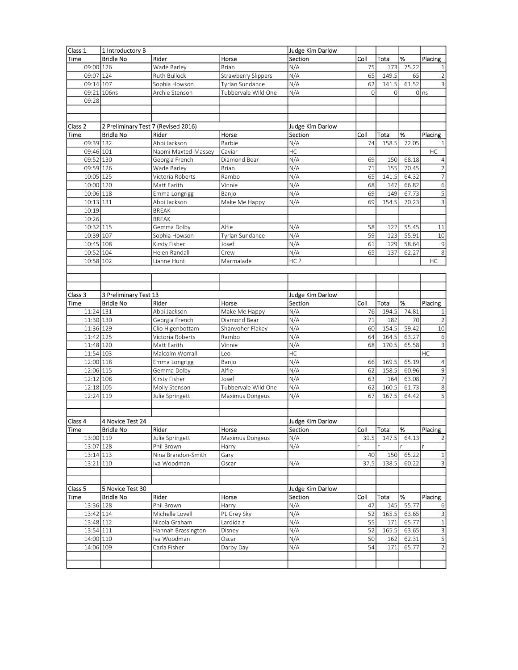| Class 1                | 1 Introductory B                    |                               |                            | Judge Kim Darlow |            |              |                |                           |
|------------------------|-------------------------------------|-------------------------------|----------------------------|------------------|------------|--------------|----------------|---------------------------|
| <b>Time</b>            | <b>Bridle No</b>                    | Rider                         | Horse                      | Section          | Coll       | Total        | %              | Placing                   |
| 09:00 126              |                                     | Wade Barley                   | <b>Brian</b>               | N/A              | 75         | 173          | 75.22          | 1                         |
| 09:07 124              |                                     | Ruth Bullock                  | <b>Strawberry Slippers</b> | N/A              | 65         | 149.5        | 65             | $\overline{2}$            |
| 09:14 107              |                                     | Sophia Howson                 | Tyrlan Sundance            | N/A              | 62         | 141.5        | 61.52          | 3                         |
|                        | 09:21 106ns                         | Archie Stenson                | Tubbervale Wild One        | N/A              | $\circ$    | $\Omega$     |                | 0 ns                      |
| 09:28                  |                                     |                               |                            |                  |            |              |                |                           |
|                        |                                     |                               |                            |                  |            |              |                |                           |
|                        |                                     |                               |                            |                  |            |              |                |                           |
| Class 2                | 2 Preliminary Test 7 (Revised 2016) |                               |                            | Judge Kim Darlow |            |              |                |                           |
| Time                   | <b>Bridle No</b>                    | Rider                         | Horse                      | Section          | Coll       | Total        | 1%             | Placing                   |
| 09:39 132              |                                     | Abbi Jackson                  | Barbie                     | N/A              | 74         | 158.5        | 72.05          | 1                         |
| 09:46 101              |                                     | Naomi Maxted-Massey           | Caviar                     | HC               |            |              |                | HC                        |
| 09:52 130              |                                     | Georgia French                | Diamond Bear               | N/A              | 69         | 150          | 68.18          | $\overline{4}$            |
| 09:59 126              |                                     | Wade Barley                   | <b>Brian</b>               | N/A              | 71         | 155          | 70.45          | $\sqrt{2}$                |
| 10:05 125              |                                     | Victoria Roberts              | Rambo                      | N/A              | 65         | 141.5        | 64.32          | $\overline{7}$            |
| 10:00 120              |                                     | Matt Earith                   | Vinnie                     | N/A              | 68         | 147          | 66.82          | $\sqrt{6}$                |
| 10:06 118              |                                     | Emma Longrigg                 | Banjo                      | N/A              | 69         | 149          | 67.73          | $\overline{5}$            |
| $10:13$ 131            |                                     | Abbi Jackson                  | Make Me Happy              | N/A              | 69         | 154.5        | 70.23          | $\overline{3}$            |
| 10:19                  |                                     | <b>BREAK</b>                  |                            |                  |            |              |                |                           |
| 10:26                  |                                     | <b>BREAK</b>                  |                            |                  |            |              |                |                           |
| 10:32 115              |                                     | Gemma Dolby                   | Alfie                      | N/A              | 58         | 122          | 55.45          | 11                        |
| 10:39 107              |                                     | Sophia Howson                 | Tyrlan Sundance            | N/A              | 59         | 123          | 55.91          | 10                        |
| 10:45 108              |                                     | Kirsty Fisher                 | Josef                      | N/A              | 61         | 129          | 58.64          | $\overline{9}$            |
| 10:52 104              |                                     | Helen Randall                 | Crew                       | N/A              | 65         | 137          | 62.27          | $\overline{8}$            |
| 10:58 102              |                                     | Lianne Hunt                   | Marmalade                  | HC?              |            |              |                | HC                        |
|                        |                                     |                               |                            |                  |            |              |                |                           |
|                        |                                     |                               |                            |                  |            |              |                |                           |
|                        |                                     |                               |                            |                  |            |              |                |                           |
| Class 3                | 3 Preliminary Test 13               |                               |                            | Judge Kim Darlow |            |              |                |                           |
| Time                   | <b>Bridle No</b>                    | Rider                         | Horse                      | Section          | Coll       | Total        | %              | Placing                   |
| 11:24 131              |                                     | Abbi Jackson                  | Make Me Happy              | N/A              | 76         | 194.5        | 74.81          | 1                         |
| 11:30 130              |                                     | Georgia French                | Diamond Bear               | N/A              | 71         | 182          | 70             | $\overline{2}$            |
| 11:36 129              |                                     | Clio Higenbottam              | Shanvoher Flakey           | N/A              | 60         | 154.5        | 59.42          | 10                        |
| 11:42 125              |                                     | Victoria Roberts              | Rambo                      | N/A              | 64         | 164.5        | 63.27          | $\,6\,$                   |
| 11:48 120              |                                     | Matt Earith                   | Vinnie                     | N/A              | 68         | 170.5        | 65.58          | $\overline{3}$            |
| 11:54 103              |                                     | Malcolm Worrall               | Leo                        | HC               |            |              |                | HC                        |
| 12:00 118              |                                     | Emma Longrigg                 | Banjo                      | N/A              | 66         | 169.5        | 65.19          | $\overline{4}$            |
| $12:06 \overline{115}$ |                                     | Gemma Dolby                   | Alfie                      | N/A              | 62         | 158.5        | 60.96          | $\overline{9}$            |
| $12:12$ 108            |                                     | Kirsty Fisher                 | Josef                      | N/A              | 63         | 164          | 63.08          | $\overline{7}$            |
| 12:18 105              |                                     | Molly Stenson                 | Tubbervale Wild One        | N/A              | 62         | 160.5        | 61.73          | 8                         |
| 12:24 119              |                                     | Julie Springett               | Maximus Dongeus            | N/A              | 67         | 167.5        | 64.42          | 5                         |
|                        |                                     |                               |                            |                  |            |              |                |                           |
|                        |                                     |                               |                            |                  |            |              |                |                           |
| Class 4                | 4 Novice Test 24                    |                               |                            | Judge Kim Darlow |            |              |                |                           |
| <b>Time</b>            | <b>Bridle No</b>                    | Rider                         | Horse                      | Section          | Coll       | Total        | %              | Placing                   |
| 13:00 119              |                                     | Julie Springett               | Maximus Dongeus            | N/A              | 39.5       | 147.5        | 64.13          | 2                         |
| 13:07 128              |                                     | Phil Brown                    | Harry                      | N/A              |            |              |                |                           |
| 13:14 113              |                                     | Nina Brandon-Smith            | Gary                       |                  | 40         | 150          | 65.22          | $\mathbf{1}$              |
| 13:21 110              |                                     | Iva Woodman                   | Oscar                      | N/A              | 37.5       | 138.5        | 60.22          | 3                         |
|                        |                                     |                               |                            |                  |            |              |                |                           |
| Class 5                |                                     |                               |                            |                  |            |              |                |                           |
|                        | 5 Novice Test 30                    | Rider                         |                            | Judge Kim Darlow |            |              |                |                           |
| Time                   | <b>Bridle No</b>                    |                               | Horse                      | Section<br>N/A   | Coll<br>47 | Total<br>145 | %<br>55.77     | Placing                   |
| 13:36 128<br>13:42 114 |                                     | Phil Brown<br>Michelle Lovell | Harry                      |                  | 52         | 165.5        | 63.65          | 6<br>$\mathsf 3$          |
| 13:48 112              |                                     | Nicola Graham                 | PL Grey Sky<br>Lardida z   | N/A<br>N/A       | 55         |              |                | $\,1\,$                   |
| 13:54 111              |                                     | Hannah Brassington            | Disney                     | N/A              | 52         | 171<br>165.5 | 65.77<br>63.65 | $\ensuremath{\mathsf{3}}$ |
| 14:00 110              |                                     | Iva Woodman                   | Oscar                      | N/A              | 50         | 162          | 62.31          | 5                         |
|                        |                                     |                               |                            |                  |            |              |                |                           |
|                        |                                     |                               |                            |                  |            |              |                |                           |
|                        | 14:06 109                           | Carla Fisher                  | Darby Day                  | N/A              | 54         | 171          | 65.77          | $\overline{2}$            |
|                        |                                     |                               |                            |                  |            |              |                |                           |